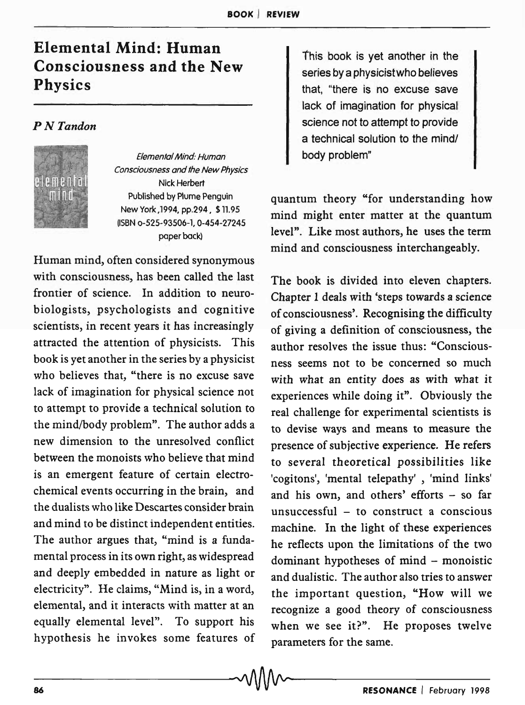## **Elemental Mind: Human Consciousness and the New Physics**

## *PNTandon*



Elemental Mind- Human Consciousness and the New Physics Nick Herbert Published by Plume Penguin NewYork,1994, pp.294, \$11.95 (ISBN 0-525-93506-1, 0-454-27245 paperback)

Human mind, often considered synonymous with consciousness, has been called the last frontier of science. In addition to neurobiologists, psychologists and cognitive scientists, in recent years it has increasingly attracted the attention of physicists. This book is yet another in the series by a physicist who believes that, "there is no excuse save lack of imagination for physical science not to attempt to provide a technical solution to the mind/body problem". The author adds a new dimension to the unresolved conflict between the monoists who believe that mind is an emergent feature of certain electrochemical events occurring in the brain, and the dualists who like Descartes consider brain and mind to be distinct independent entities. The author argues that, "mind is a fundamental process in its own right, as widespread and deeply embedded in nature as light or electricity". He claims, "Mind is, in a word, elemental, and it interacts with matter at an equally elemental level". To support his hypothesis he invokes some features of

This book is yet another in the series by a physicist who believes that, "there is no excuse save lack of imagination for physical science not to attempt to provide a technical solution to the mind/ body problem"

quantum theory "for understanding how mind might enter matter at the quantum level". Like most authors, he uses the term mind and consciousness interchangeably.

The book is divided into eleven chapters. Chapter 1 deals with 'steps towards a science of consciousness'. Recognising the difficulty of giving a definition of consciousness, the author resolves the issue thus: "Consciousness seems not to be concerned so much with what an entity does as with what it experiences while doing it". Obviously the real challenge for experimental scientists is to devise ways and means to measure the presence of subjective experience. He refers to several theoretical possibilities like 'cogitons', 'mental telepathy' , 'mind links' and his own, and others' efforts - so far unsuccessful  $-$  to construct a conscious machine. In the light of these experiences he reflects upon the limitations of the two dominant hypotheses of mind - monoistic and dualistic. The author also tries to answer the important question, "How will we recognize a good theory of consciousness when we see it?". He proposes twelve parameters for the same.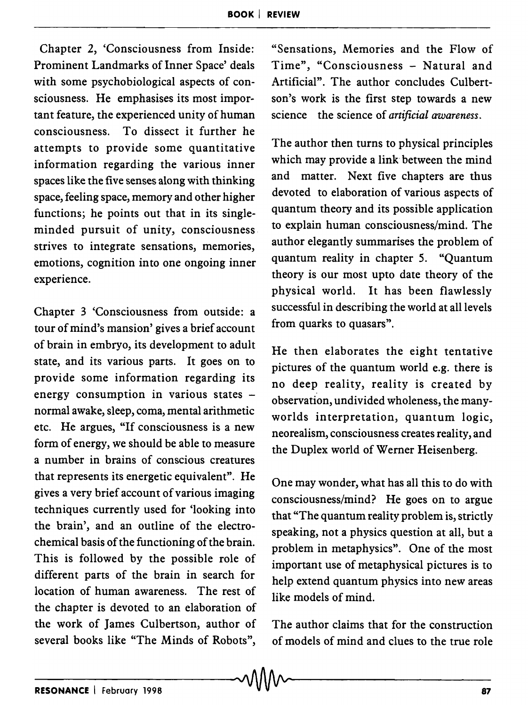Chapter 2, 'Consciousness from Inside: Prominent Landmarks of Inner Space' deals with some psychobiological aspects of consciousness. He emphasises its most important feature, the experienced unity of human consciousness. To dissect it further he attempts to provide some quantitative information regarding the various inner spaces like the five senses along with thinking space, feeling space, memory and other higher functions; he points out that in its singleminded pursuit of unity, consciousness strives to integrate sensations, memories, emotions, cognition into one ongoing inner experience.

Chapter 3 'Consciousness from outside: a tour of mind's mansion' gives a brief account of brain in embryo, its development to adult state, and its various parts. It goes on to provide some information regarding its energy consumption in various states  $$ normal awake, sleep, coma, mental arithmetic etc. He argues, "If consciousness is a new form of energy, we should be able to measure a number in brains of conscious creatures that represents its energetic equivalent". He gives a very brief account of various imaging techniques currently used for 'looking into the brain', and an outline of the electrochemical basis of the functioning of the brain. This is followed by the possible role of different parts of the brain in search for location of human awareness. The rest of the chapter is devoted to an elaboration of the work of James Culbertson, author of several books like "The Minds of Robots",

"Sensations, Memories and the Flow of Time", "Consciousness - Natural and Artificial". The author concludes Culbertson's work is the first step towards a new science the science of *artificial awareness.* 

The author then turns to physical principles which may provide a link between the mind and matter. Next five chapters are thus devoted to elaboration of various aspects of quantum theory and its possible application to explain human consciousness/mind. The author elegantly summarises the problem of quantum reality in chapter 5. "Quantum theory is our most upto date theory of the physical world. It has been flawlessly successful in describing the world at all levels from quarks to quasars".

He then elaborates the eight tentative pictures of the quantum world e.g. there is no deep reality, reality is created by observation, undivided wholeness, the manyworlds interpretation, quantum logic, neorealism, consciousness creates reality, and the Duplex world of Werner Heisenberg.

One may wonder, what has all this to do with consciousness/mind? He goes on to argue that "The quantum reality problem is, strictly speaking, not a physics question at all, but a problem in metaphysics". One of the most important use of metaphysical pictures is to help extend quantum physics into new areas like models of mind.

The author claims that for the construction of models of mind and clues to the true role